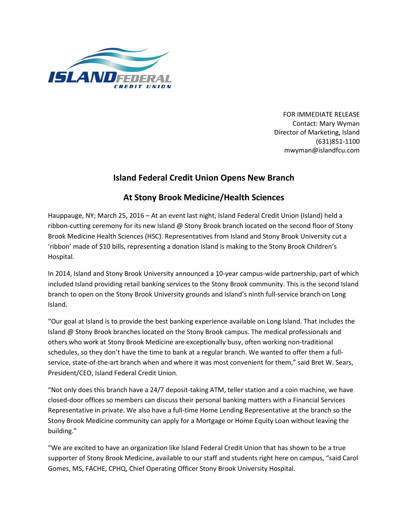

FOR IMMEDIATE RELEASE Contact: Mary Wyman Director of Marketing, Island (631)851-1100 mwyman@islandfcu.com

## **Island Federal Credit Union Opens New Branch**

## **At Stony Brook Medicine/Health Sciences**

Hauppauge, NY; March 25, 2016 – At an event last night, Island Federal Credit Union (Island) held a ribbon-cutting ceremony for its new Island @ Stony Brook branch located on the second floor of Stony Brook Medicine Health Sciences (HSC). Representatives from Island and Stony Brook University cut a 'ribbon' made of \$10 bills, representing a donation Island is making to the Stony Brook Children's Hospital.

In 2014, Island and Stony Brook University announced a 10-year campus-wide partnership, part of which included Island providing retail banking services to the Stony Brook community. This is the second Island branch to open on the Stony Brook University grounds and Island's ninth full-service branch on Long Island.

"Our goal at Island is to provide the best banking experience available on Long Island. That includes the Island @ Stony Brook branches located on the Stony Brook campus. The medical professionals and others who work at Stony Brook Medicine are exceptionally busy, often working non-traditional schedules, so they don't have the time to bank at a regular branch. We wanted to offer them a fullservice, state-of-the-art branch when and where it was most convenient for them," said Bret W. Sears, President/CEO, Island Federal Credit Union.

"Not only does this branch have a 24/7 deposit-taking ATM, teller station and a coin machine, we have closed-door offices so members can discuss their personal banking matters with a Financial Services Representative in private. We also have a full-time Home Lending Representative at the branch so the Stony Brook Medicine community can apply for a Mortgage or Home Equity Loan without leaving the building."

"We are excited to have an organization like Island Federal Credit Union that has shown to be a true supporter of Stony Brook Medicine, available to our staff and students right here on campus, "said Carol Gomes, MS, FACHE, CPHQ, Chief Operating Officer Stony Brook University Hospital.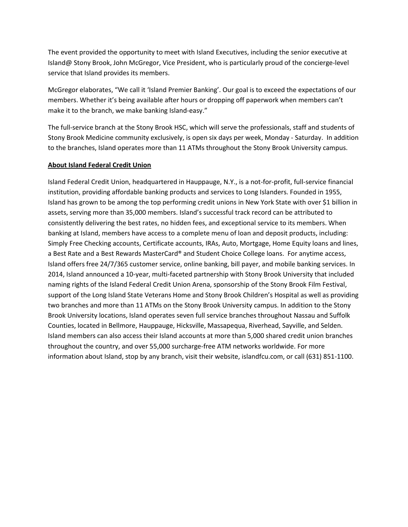The event provided the opportunity to meet with Island Executives, including the senior executive at Island@ Stony Brook, John McGregor, Vice President, who is particularly proud of the concierge-level service that Island provides its members.

McGregor elaborates, "We call it 'Island Premier Banking'. Our goal is to exceed the expectations of our members. Whether it's being available after hours or dropping off paperwork when members can't make it to the branch, we make banking Island-easy."

The full-service branch at the Stony Brook HSC, which will serve the professionals, staff and students of Stony Brook Medicine community exclusively, is open six days per week, Monday - Saturday. In addition to the branches, Island operates more than 11 ATMs throughout the Stony Brook University campus.

## **About Island Federal Credit Union**

Island Federal Credit Union, headquartered in Hauppauge, N.Y., is a not-for-profit, full-service financial institution, providing affordable banking products and services to Long Islanders. Founded in 1955, Island has grown to be among the top performing credit unions in New York State with over \$1 billion in assets, serving more than 35,000 members. Island's successful track record can be attributed to consistently delivering the best rates, no hidden fees, and exceptional service to its members. When banking at Island, members have access to a complete menu of loan and deposit products, including: Simply Free Checking accounts, Certificate accounts, IRAs, Auto, Mortgage, Home Equity loans and lines, a Best Rate and a Best Rewards MasterCard® and Student Choice College loans. For anytime access, Island offers free 24/7/365 customer service, online banking, bill payer, and mobile banking services. In 2014, Island announced a 10-year, multi-faceted partnership with Stony Brook University that included naming rights of the Island Federal Credit Union Arena, sponsorship of the Stony Brook Film Festival, support of the Long Island State Veterans Home and Stony Brook Children's Hospital as well as providing two branches and more than 11 ATMs on the Stony Brook University campus. In addition to the Stony Brook University locations, Island operates seven full service branches throughout Nassau and Suffolk Counties, located in Bellmore, Hauppauge, Hicksville, Massapequa, Riverhead, Sayville, and Selden. Island members can also access their Island accounts at more than 5,000 shared credit union branches throughout the country, and over 55,000 surcharge-free ATM networks worldwide. For more information about Island, stop by any branch, visit their website, islandfcu.com, or call (631) 851-1100.